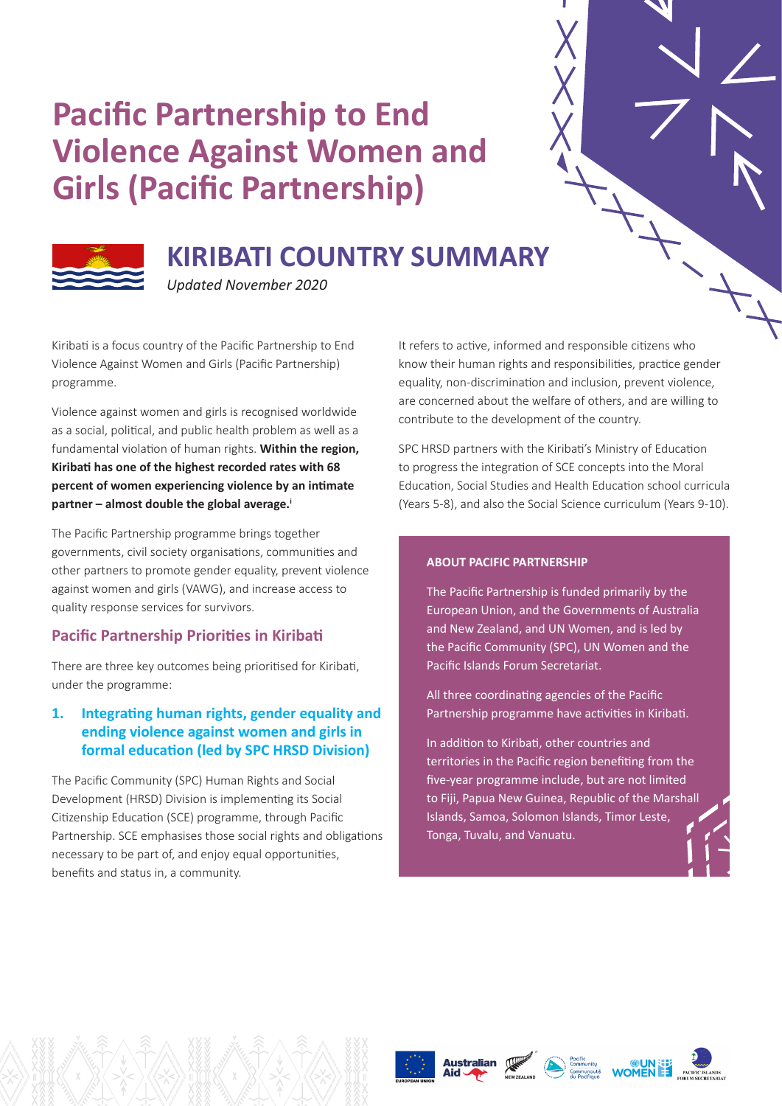# **Pacific Partnership to End Violence Against Women and Girls (Pacific Partnership)**



# **KIRIBATI COUNTRY SUMMARY**

*Updated November 2020*

Kiribati is a focus country of the Pacific Partnership to End Violence Against Women and Girls (Pacific Partnership) programme.

Violence against women and girls is recognised worldwide as a social, political, and public health problem as well as a fundamental violation of human rights. **Within the region, Kiribati has one of the highest recorded rates with 68 percent of women experiencing violence by an intimate partner – almost double the global average.<sup>i</sup>**

The Pacific Partnership programme brings together governments, civil society organisations, communities and other partners to promote gender equality, prevent violence against women and girls (VAWG), and increase access to quality response services for survivors.

# **Pacific Partnership Priorities in Kiribati**

There are three key outcomes being prioritised for Kiribati, under the programme:

# **1. Integrating human rights, gender equality and ending violence against women and girls in formal education (led by SPC HRSD Division)**

The Pacific Community (SPC) Human Rights and Social Development (HRSD) Division is implementing its Social Citizenship Education (SCE) programme, through Pacific Partnership. SCE emphasises those social rights and obligations necessary to be part of, and enjoy equal opportunities, benefits and status in, a community.

It refers to active, informed and responsible citizens who know their human rights and responsibilities, practice gender equality, non-discrimination and inclusion, prevent violence, are concerned about the welfare of others, and are willing to contribute to the development of the country.

SPC HRSD partners with the Kiribati's Ministry of Education to progress the integration of SCE concepts into the Moral Education, Social Studies and Health Education school curricula (Years 5-8), and also the Social Science curriculum (Years 9-10).

#### **ABOUT PACIFIC PARTNERSHIP**

The Pacific Partnership is funded primarily by the European Union, and the Governments of Australia and New Zealand, and UN Women, and is led by the Pacific Community (SPC), UN Women and the Pacific Islands Forum Secretariat.

All three coordinating agencies of the Pacific Partnership programme have activities in Kiribati.

In addition to Kiribati, other countries and territories in the Pacific region benefiting from the five-year programme include, but are not limited to Fiji, Papua New Guinea, Republic of the Marshall Islands, Samoa, Solomon Islands, Timor Leste, Tonga, Tuvalu, and Vanuatu.





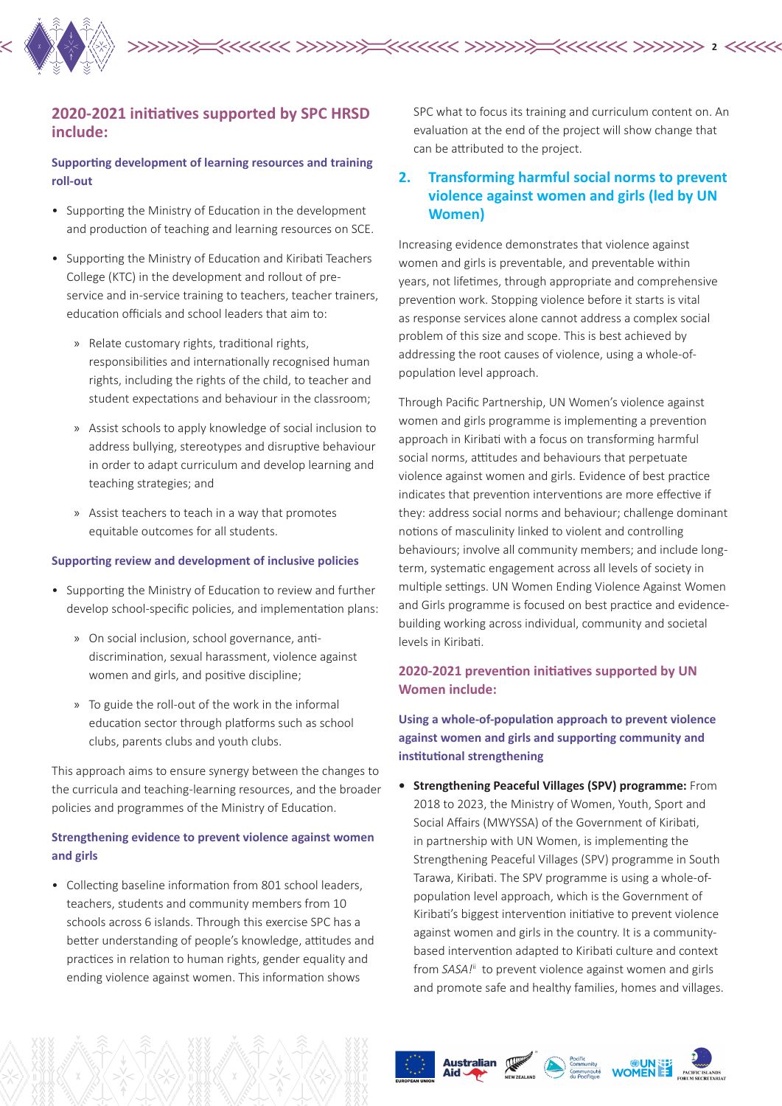

#### **2020-2021 initiatives supported by SPC HRSD include:**

#### **Supporting development of learning resources and training roll-out**

- Supporting the Ministry of Education in the development and production of teaching and learning resources on SCE.
- Supporting the Ministry of Education and Kiribati Teachers College (KTC) in the development and rollout of preservice and in-service training to teachers, teacher trainers, education officials and school leaders that aim to:
	- » Relate customary rights, traditional rights, responsibilities and internationally recognised human rights, including the rights of the child, to teacher and student expectations and behaviour in the classroom;
	- » Assist schools to apply knowledge of social inclusion to address bullying, stereotypes and disruptive behaviour in order to adapt curriculum and develop learning and teaching strategies; and
	- » Assist teachers to teach in a way that promotes equitable outcomes for all students.

#### **Supporting review and development of inclusive policies**

- Supporting the Ministry of Education to review and further develop school-specific policies, and implementation plans:
	- » On social inclusion, school governance, antidiscrimination, sexual harassment, violence against women and girls, and positive discipline;
	- » To guide the roll-out of the work in the informal education sector through platforms such as school clubs, parents clubs and youth clubs.

This approach aims to ensure synergy between the changes to the curricula and teaching-learning resources, and the broader policies and programmes of the Ministry of Education.

#### **Strengthening evidence to prevent violence against women and girls**

• Collecting baseline information from 801 school leaders, teachers, students and community members from 10 schools across 6 islands. Through this exercise SPC has a better understanding of people's knowledge, attitudes and practices in relation to human rights, gender equality and ending violence against women. This information shows

SPC what to focus its training and curriculum content on. An evaluation at the end of the project will show change that can be attributed to the project.

# **2. Transforming harmful social norms to prevent violence against women and girls (led by UN Women)**

Increasing evidence demonstrates that violence against women and girls is preventable, and preventable within years, not lifetimes, through appropriate and comprehensive prevention work. Stopping violence before it starts is vital as response services alone cannot address a complex social problem of this size and scope. This is best achieved by addressing the root causes of violence, using a whole-ofpopulation level approach.

Through Pacific Partnership, UN Women's violence against women and girls programme is implementing a prevention approach in Kiribati with a focus on transforming harmful social norms, attitudes and behaviours that perpetuate violence against women and girls. Evidence of best practice indicates that prevention interventions are more effective if they: address social norms and behaviour; challenge dominant notions of masculinity linked to violent and controlling behaviours; involve all community members; and include longterm, systematic engagement across all levels of society in multiple settings. UN Women Ending Violence Against Women and Girls programme is focused on best practice and evidencebuilding working across individual, community and societal levels in Kiribati.

#### **2020-2021 prevention initiatives supported by UN Women include:**

**Using a whole-of-population approach to prevent violence against women and girls and supporting community and institutional strengthening** 

**• Strengthening Peaceful Villages (SPV) programme:** From 2018 to 2023, the Ministry of Women, Youth, Sport and Social Affairs (MWYSSA) of the Government of Kiribati, in partnership with UN Women, is implementing the Strengthening Peaceful Villages (SPV) programme in South Tarawa, Kiribati. The SPV programme is using a whole-ofpopulation level approach, which is the Government of Kiribati's biggest intervention initiative to prevent violence against women and girls in the country. It is a communitybased intervention adapted to Kiribati culture and context from *SASA!*<sup>ii</sup> to prevent violence against women and girls and promote safe and healthy families, homes and villages.







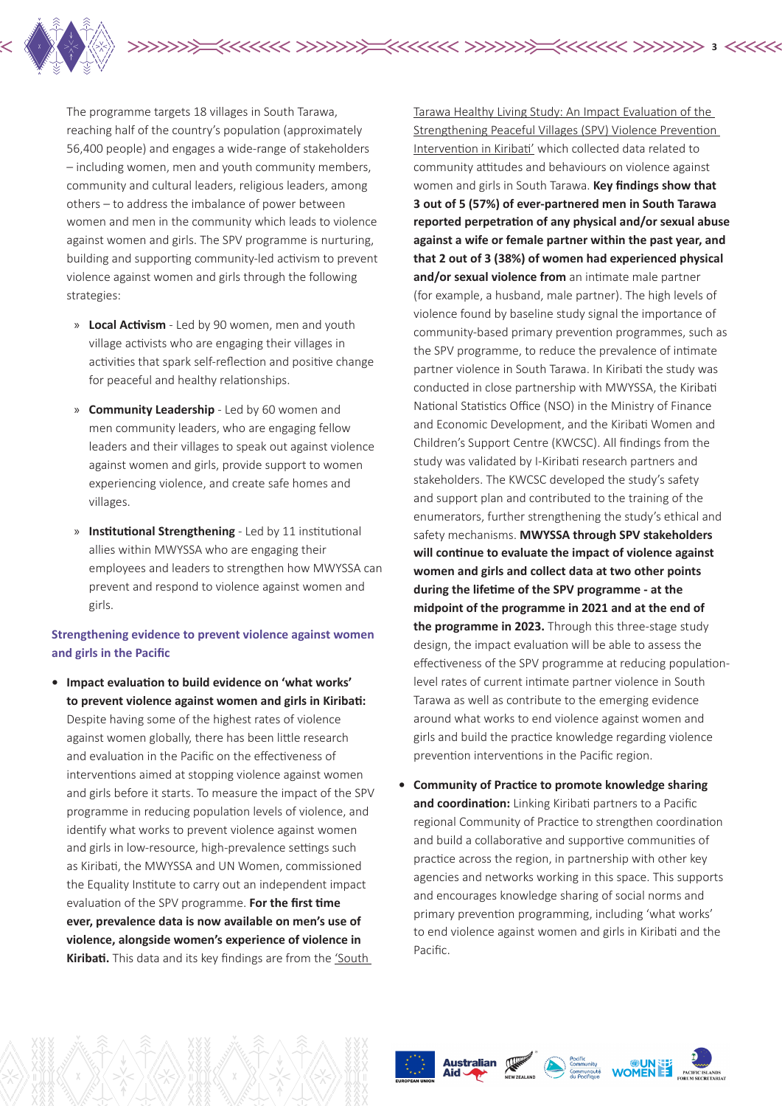

The programme targets 18 villages in South Tarawa, reaching half of the country's population (approximately 56,400 people) and engages a wide-range of stakeholders – including women, men and youth community members, community and cultural leaders, religious leaders, among others – to address the imbalance of power between women and men in the community which leads to violence against women and girls. The SPV programme is nurturing, building and supporting community-led activism to prevent violence against women and girls through the following strategies:

- » **Local Activism**  Led by 90 women, men and youth village activists who are engaging their villages in activities that spark self-reflection and positive change for peaceful and healthy relationships.
- » **Community Leadership**  Led by 60 women and men community leaders, who are engaging fellow leaders and their villages to speak out against violence against women and girls, provide support to women experiencing violence, and create safe homes and villages.
- » **Institutional Strengthening**  Led by 11 institutional allies within MWYSSA who are engaging their employees and leaders to strengthen how MWYSSA can prevent and respond to violence against women and girls.

#### **Strengthening evidence to prevent violence against women and girls in the Pacific**

**• Impact evaluation to build evidence on 'what works' to prevent violence against women and girls in Kiribati:** Despite having some of the highest rates of violence against women globally, there has been little research and evaluation in the Pacific on the effectiveness of interventions aimed at stopping violence against women and girls before it starts. To measure the impact of the SPV programme in reducing population levels of violence, and identify what works to prevent violence against women and girls in low-resource, high-prevalence settings such as Kiribati, the MWYSSA and UN Women, commissioned the Equality Institute to carry out an independent impact evaluation of the SPV programme. **For the first time ever, prevalence data is now available on men's use of violence, alongside women's experience of violence in Kiribati.** This data and its key findings are from the 'South

Tarawa Healthy Living Study: An Impact Evaluation of the Strengthening Peaceful Villages (SPV) Violence Prevention Intervention in Kiribati' which collected data related to community attitudes and behaviours on violence against women and girls in South Tarawa. **Key findings show that 3 out of 5 (57%) of ever-partnered men in South Tarawa reported perpetration of any physical and/or sexual abuse against a wife or female partner within the past year, and that 2 out of 3 (38%) of women had experienced physical**  and/or sexual violence from an intimate male partner (for example, a husband, male partner). The high levels of violence found by baseline study signal the importance of community-based primary prevention programmes, such as the SPV programme, to reduce the prevalence of intimate partner violence in South Tarawa. In Kiribati the study was conducted in close partnership with MWYSSA, the Kiribati National Statistics Office (NSO) in the Ministry of Finance and Economic Development, and the Kiribati Women and Children's Support Centre (KWCSC). All findings from the study was validated by I-Kiribati research partners and stakeholders. The KWCSC developed the study's safety and support plan and contributed to the training of the enumerators, further strengthening the study's ethical and safety mechanisms. **MWYSSA through SPV stakeholders will continue to evaluate the impact of violence against women and girls and collect data at two other points during the lifetime of the SPV programme - at the midpoint of the programme in 2021 and at the end of the programme in 2023.** Through this three-stage study design, the impact evaluation will be able to assess the effectiveness of the SPV programme at reducing populationlevel rates of current intimate partner violence in South Tarawa as well as contribute to the emerging evidence around what works to end violence against women and girls and build the practice knowledge regarding violence prevention interventions in the Pacific region.

**3**

**• Community of Practice to promote knowledge sharing and coordination:** Linking Kiribati partners to a Pacific regional Community of Practice to strengthen coordination and build a collaborative and supportive communities of practice across the region, in partnership with other key agencies and networks working in this space. This supports and encourages knowledge sharing of social norms and primary prevention programming, including 'what works' to end violence against women and girls in Kiribati and the Pacific.

 $\begin{picture}(180,10) \put(0,0){\line(1,0){15}} \put(10,0){\line(1,0){15}} \put(10,0){\line(1,0){15}} \put(10,0){\line(1,0){15}} \put(10,0){\line(1,0){15}} \put(10,0){\line(1,0){15}} \put(10,0){\line(1,0){15}} \put(10,0){\line(1,0){15}} \put(10,0){\line(1,0){15}} \put(10,0){\line(1,0){15}} \put(10,0){\line(1,0){15}} \put(10,0){\line($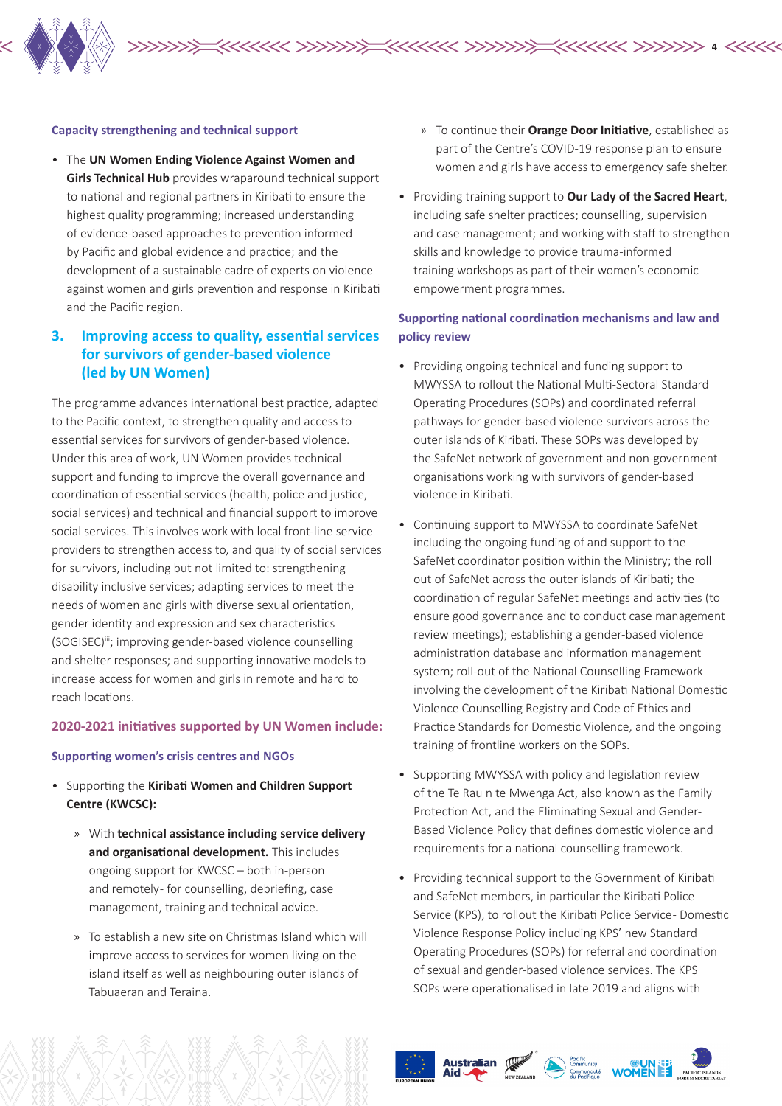

#### **Capacity strengthening and technical support**

• The **UN Women Ending Violence Against Women and Girls Technical Hub** provides wraparound technical support to national and regional partners in Kiribati to ensure the highest quality programming; increased understanding of evidence-based approaches to prevention informed by Pacific and global evidence and practice; and the development of a sustainable cadre of experts on violence against women and girls prevention and response in Kiribati and the Pacific region.

# **3. Improving access to quality, essential services for survivors of gender-based violence (led by UN Women)**

The programme advances international best practice, adapted to the Pacific context, to strengthen quality and access to essential services for survivors of gender-based violence. Under this area of work, UN Women provides technical support and funding to improve the overall governance and coordination of essential services (health, police and justice, social services) and technical and financial support to improve social services. This involves work with local front-line service providers to strengthen access to, and quality of social services for survivors, including but not limited to: strengthening disability inclusive services; adapting services to meet the needs of women and girls with diverse sexual orientation, gender identity and expression and sex characteristics (SOGISEC)iii; improving gender-based violence counselling and shelter responses; and supporting innovative models to increase access for women and girls in remote and hard to reach locations.

#### **2020-2021 initiatives supported by UN Women include:**

#### **Supporting women's crisis centres and NGOs**

- Supporting the **Kiribati Women and Children Support Centre (KWCSC):**
	- » With **technical assistance including service delivery and organisational development.** This includes ongoing support for KWCSC – both in-person and remotely- for counselling, debriefing, case management, training and technical advice.
	- » To establish a new site on Christmas Island which will improve access to services for women living on the island itself as well as neighbouring outer islands of Tabuaeran and Teraina.

» To continue their **Orange Door Initiative**, established as part of the Centre's COVID-19 response plan to ensure women and girls have access to emergency safe shelter.

**4**

• Providing training support to **Our Lady of the Sacred Heart**, including safe shelter practices; counselling, supervision and case management; and working with staff to strengthen skills and knowledge to provide trauma-informed training workshops as part of their women's economic empowerment programmes.

#### **Supporting national coordination mechanisms and law and policy review**

- Providing ongoing technical and funding support to MWYSSA to rollout the National Multi-Sectoral Standard Operating Procedures (SOPs) and coordinated referral pathways for gender-based violence survivors across the outer islands of Kiribati. These SOPs was developed by the SafeNet network of government and non-government organisations working with survivors of gender-based violence in Kiribati.
- Continuing support to MWYSSA to coordinate SafeNet including the ongoing funding of and support to the SafeNet coordinator position within the Ministry; the roll out of SafeNet across the outer islands of Kiribati; the coordination of regular SafeNet meetings and activities (to ensure good governance and to conduct case management review meetings); establishing a gender-based violence administration database and information management system; roll-out of the National Counselling Framework involving the development of the Kiribati National Domestic Violence Counselling Registry and Code of Ethics and Practice Standards for Domestic Violence, and the ongoing training of frontline workers on the SOPs.
- Supporting MWYSSA with policy and legislation review of the Te Rau n te Mwenga Act, also known as the Family Protection Act, and the Eliminating Sexual and Gender-Based Violence Policy that defines domestic violence and requirements for a national counselling framework.
- Providing technical support to the Government of Kiribati and SafeNet members, in particular the Kiribati Police Service (KPS), to rollout the Kiribati Police Service-Domestic Violence Response Policy including KPS' new Standard Operating Procedures (SOPs) for referral and coordination of sexual and gender-based violence services. The KPS SOPs were operationalised in late 2019 and aligns with





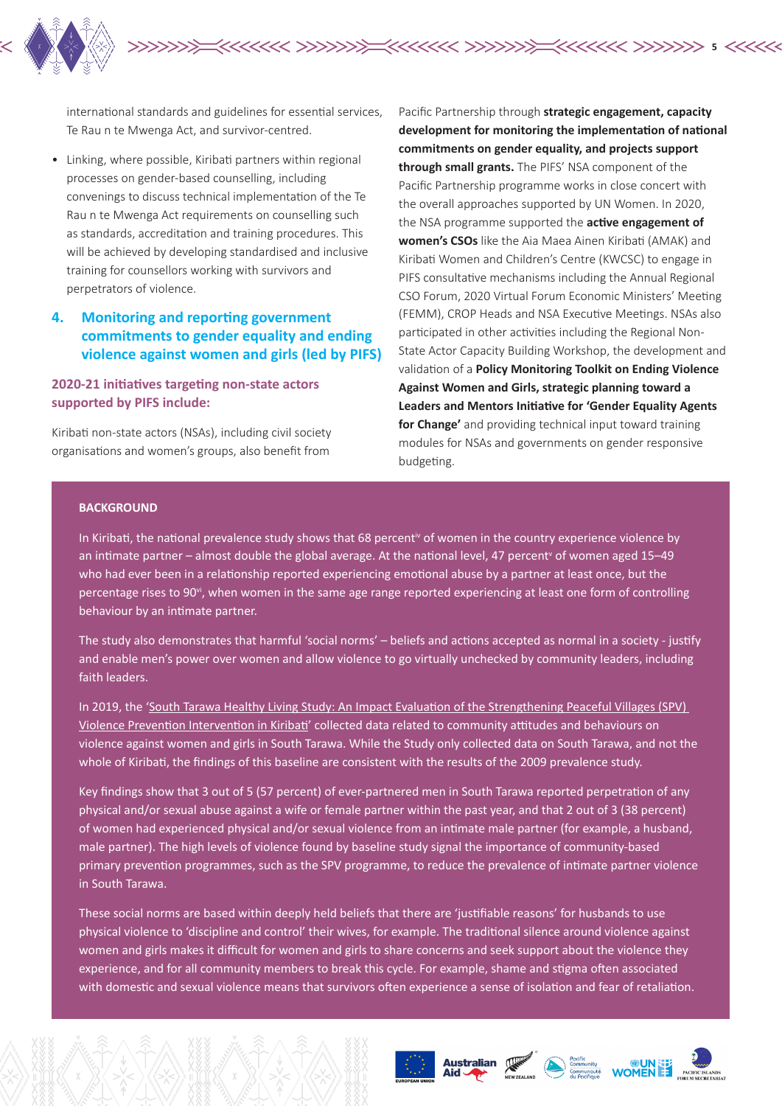

international standards and guidelines for essential services, Te Rau n te Mwenga Act, and survivor-centred.

• Linking, where possible, Kiribati partners within regional processes on gender-based counselling, including convenings to discuss technical implementation of the Te Rau n te Mwenga Act requirements on counselling such as standards, accreditation and training procedures. This will be achieved by developing standardised and inclusive training for counsellors working with survivors and perpetrators of violence.

# **4. Monitoring and reporting government commitments to gender equality and ending violence against women and girls (led by PIFS)**

**2020-21 initiatives targeting non-state actors supported by PIFS include:**

Kiribati non-state actors (NSAs), including civil society organisations and women's groups, also benefit from

Pacific Partnership through **strategic engagement, capacity development for monitoring the implementation of national commitments on gender equality, and projects support through small grants.** The PIFS' NSA component of the Pacific Partnership programme works in close concert with the overall approaches supported by UN Women. In 2020, the NSA programme supported the **active engagement of women's CSOs** like the Aia Maea Ainen Kiribati (AMAK) and Kiribati Women and Children's Centre (KWCSC) to engage in PIFS consultative mechanisms including the Annual Regional CSO Forum, 2020 Virtual Forum Economic Ministers' Meeting (FEMM), CROP Heads and NSA Executive Meetings. NSAs also participated in other activities including the Regional Non-State Actor Capacity Building Workshop, the development and validation of a **Policy Monitoring Toolkit on Ending Violence Against Women and Girls, strategic planning toward a Leaders and Mentors Initiative for 'Gender Equality Agents for Change'** and providing technical input toward training modules for NSAs and governments on gender responsive budgeting.

#### **BACKGROUND**

In Kiribati, the national prevalence study shows that 68 percent<sup>iv</sup> of women in the country experience violence by an intimate partner – almost double the global average. At the national level, 47 percent<sup>v</sup> of women aged 15–49 who had ever been in a relationship reported experiencing emotional abuse by a partner at least once, but the percentage rises to 90 $v<sub>i</sub>$ , when women in the same age range reported experiencing at least one form of controlling behaviour by an intimate partner.

The study also demonstrates that harmful 'social norms' – beliefs and actions accepted as normal in a society - justify and enable men's power over women and allow violence to go virtually unchecked by community leaders, including faith leaders.

In 2019, the 'South Tarawa Healthy Living Study: An Impact Evaluation of the Strengthening Peaceful Villages (SPV) Violence Prevention Intervention in Kiribati' collected data related to community attitudes and behaviours on violence against women and girls in South Tarawa. While the Study only collected data on South Tarawa, and not the whole of Kiribati, the findings of this baseline are consistent with the results of the 2009 prevalence study.

Key findings show that 3 out of 5 (57 percent) of ever-partnered men in South Tarawa reported perpetration of any physical and/or sexual abuse against a wife or female partner within the past year, and that 2 out of 3 (38 percent) of women had experienced physical and/or sexual violence from an intimate male partner (for example, a husband, male partner). The high levels of violence found by baseline study signal the importance of community-based primary prevention programmes, such as the SPV programme, to reduce the prevalence of intimate partner violence in South Tarawa.

These social norms are based within deeply held beliefs that there are 'justifiable reasons' for husbands to use physical violence to 'discipline and control' their wives, for example. The traditional silence around violence against women and girls makes it difficult for women and girls to share concerns and seek support about the violence they experience, and for all community members to break this cycle. For example, shame and stigma often associated with domestic and sexual violence means that survivors often experience a sense of isolation and fear of retaliation.